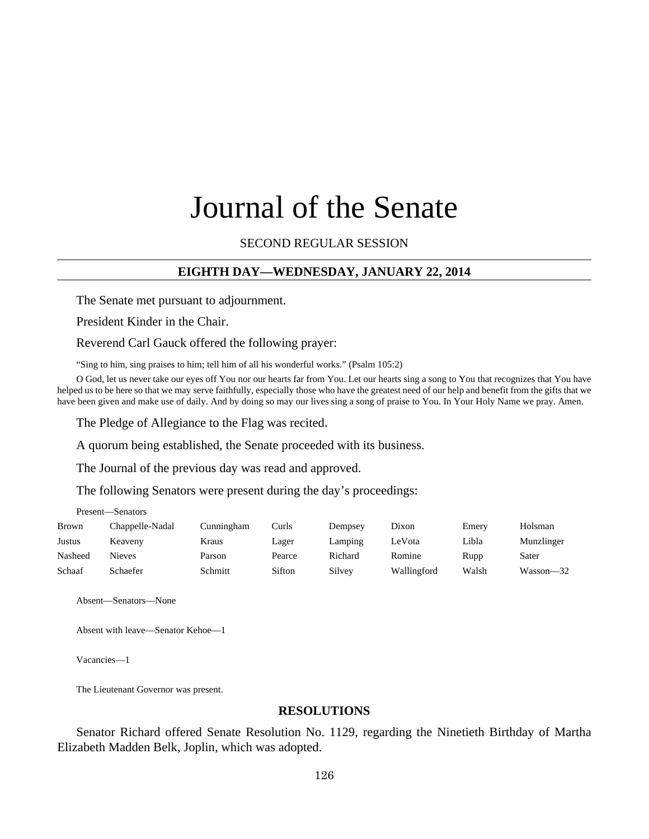# Journal of the Senate

## SECOND REGULAR SESSION

## **EIGHTH DAY—WEDNESDAY, JANUARY 22, 2014**

The Senate met pursuant to adjournment.

President Kinder in the Chair.

Reverend Carl Gauck offered the following prayer:

"Sing to him, sing praises to him; tell him of all his wonderful works." (Psalm 105:2)

O God, let us never take our eyes off You nor our hearts far from You. Let our hearts sing a song to You that recognizes that You have helped us to be here so that we may serve faithfully, especially those who have the greatest need of our help and benefit from the gifts that we have been given and make use of daily. And by doing so may our lives sing a song of praise to You. In Your Holy Name we pray. Amen.

The Pledge of Allegiance to the Flag was recited.

A quorum being established, the Senate proceeded with its business.

The Journal of the previous day was read and approved.

The following Senators were present during the day's proceedings:

| Present—Senators |                 |            |        |         |             |       |            |  |  |  |
|------------------|-----------------|------------|--------|---------|-------------|-------|------------|--|--|--|
| <b>Brown</b>     | Chappelle-Nadal | Cunningham | Curls  | Dempsey | Dixon       | Emery | Holsman    |  |  |  |
| Justus           | Keaveny         | Kraus      | Lager  | Lamping | LeVota      | Libla | Munzlinger |  |  |  |
| Nasheed          | <b>Nieves</b>   | Parson     | Pearce | Richard | Romine      | Rupp  | Sater      |  |  |  |
| Schaaf           | Schaefer        | Schmitt    | Sifton | Silvey  | Wallingford | Walsh | Wasson—32  |  |  |  |

Absent—Senators—None

Absent with leave—Senator Kehoe—1

Vacancies—1

The Lieutenant Governor was present.

## **RESOLUTIONS**

Senator Richard offered Senate Resolution No. 1129, regarding the Ninetieth Birthday of Martha Elizabeth Madden Belk, Joplin, which was adopted.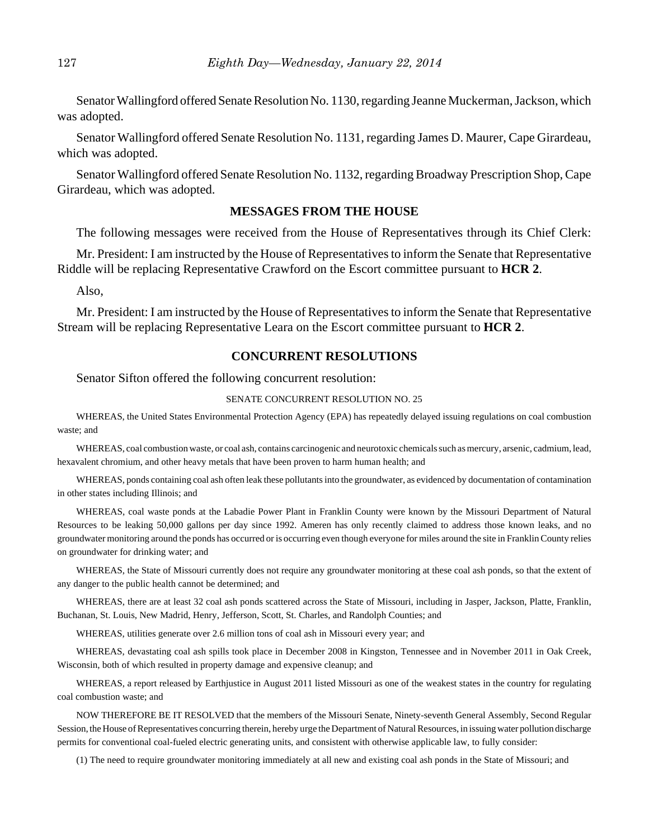Senator Wallingford offered Senate Resolution No. 1130, regarding Jeanne Muckerman, Jackson, which was adopted.

Senator Wallingford offered Senate Resolution No. 1131, regarding James D. Maurer, Cape Girardeau, which was adopted.

Senator Wallingford offered Senate Resolution No. 1132, regarding Broadway Prescription Shop, Cape Girardeau, which was adopted.

# **MESSAGES FROM THE HOUSE**

The following messages were received from the House of Representatives through its Chief Clerk:

Mr. President: I am instructed by the House of Representatives to inform the Senate that Representative Riddle will be replacing Representative Crawford on the Escort committee pursuant to **HCR 2**.

Also,

Mr. President: I am instructed by the House of Representatives to inform the Senate that Representative Stream will be replacing Representative Leara on the Escort committee pursuant to **HCR 2**.

## **CONCURRENT RESOLUTIONS**

Senator Sifton offered the following concurrent resolution:

#### SENATE CONCURRENT RESOLUTION NO. 25

WHEREAS, the United States Environmental Protection Agency (EPA) has repeatedly delayed issuing regulations on coal combustion waste; and

WHEREAS, coal combustion waste, or coal ash, contains carcinogenic and neurotoxic chemicals such as mercury, arsenic, cadmium, lead, hexavalent chromium, and other heavy metals that have been proven to harm human health; and

WHEREAS, ponds containing coal ash often leak these pollutants into the groundwater, as evidenced by documentation of contamination in other states including Illinois; and

WHEREAS, coal waste ponds at the Labadie Power Plant in Franklin County were known by the Missouri Department of Natural Resources to be leaking 50,000 gallons per day since 1992. Ameren has only recently claimed to address those known leaks, and no groundwater monitoring around the ponds has occurred or is occurring even though everyone for miles around the site in Franklin County relies on groundwater for drinking water; and

WHEREAS, the State of Missouri currently does not require any groundwater monitoring at these coal ash ponds, so that the extent of any danger to the public health cannot be determined; and

WHEREAS, there are at least 32 coal ash ponds scattered across the State of Missouri, including in Jasper, Jackson, Platte, Franklin, Buchanan, St. Louis, New Madrid, Henry, Jefferson, Scott, St. Charles, and Randolph Counties; and

WHEREAS, utilities generate over 2.6 million tons of coal ash in Missouri every year; and

WHEREAS, devastating coal ash spills took place in December 2008 in Kingston, Tennessee and in November 2011 in Oak Creek, Wisconsin, both of which resulted in property damage and expensive cleanup; and

WHEREAS, a report released by Earthjustice in August 2011 listed Missouri as one of the weakest states in the country for regulating coal combustion waste; and

NOW THEREFORE BE IT RESOLVED that the members of the Missouri Senate, Ninety-seventh General Assembly, Second Regular Session, the House of Representatives concurring therein, hereby urge the Department of Natural Resources, in issuing water pollution discharge permits for conventional coal-fueled electric generating units, and consistent with otherwise applicable law, to fully consider:

(1) The need to require groundwater monitoring immediately at all new and existing coal ash ponds in the State of Missouri; and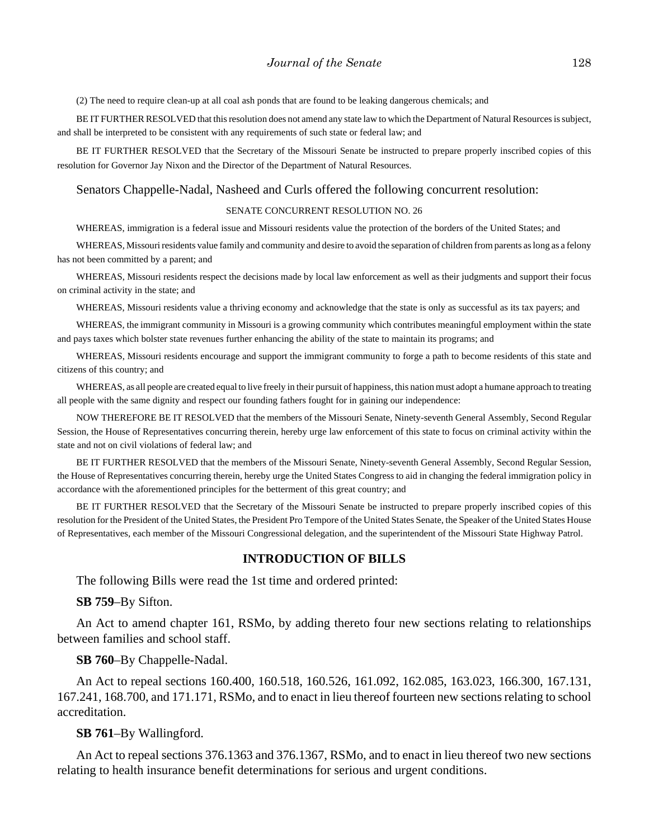(2) The need to require clean-up at all coal ash ponds that are found to be leaking dangerous chemicals; and

BE IT FURTHER RESOLVED that this resolution does not amend any state law to which the Department of Natural Resources is subject, and shall be interpreted to be consistent with any requirements of such state or federal law; and

BE IT FURTHER RESOLVED that the Secretary of the Missouri Senate be instructed to prepare properly inscribed copies of this resolution for Governor Jay Nixon and the Director of the Department of Natural Resources.

#### Senators Chappelle-Nadal, Nasheed and Curls offered the following concurrent resolution:

#### SENATE CONCURRENT RESOLUTION NO. 26

WHEREAS, immigration is a federal issue and Missouri residents value the protection of the borders of the United States; and

WHEREAS, Missouri residents value family and community and desire to avoid the separation of children from parents as long as a felony has not been committed by a parent; and

WHEREAS, Missouri residents respect the decisions made by local law enforcement as well as their judgments and support their focus on criminal activity in the state; and

WHEREAS, Missouri residents value a thriving economy and acknowledge that the state is only as successful as its tax payers; and

WHEREAS, the immigrant community in Missouri is a growing community which contributes meaningful employment within the state and pays taxes which bolster state revenues further enhancing the ability of the state to maintain its programs; and

WHEREAS, Missouri residents encourage and support the immigrant community to forge a path to become residents of this state and citizens of this country; and

WHEREAS, as all people are created equal to live freely in their pursuit of happiness, this nation must adopt a humane approach to treating all people with the same dignity and respect our founding fathers fought for in gaining our independence:

NOW THEREFORE BE IT RESOLVED that the members of the Missouri Senate, Ninety-seventh General Assembly, Second Regular Session, the House of Representatives concurring therein, hereby urge law enforcement of this state to focus on criminal activity within the state and not on civil violations of federal law; and

BE IT FURTHER RESOLVED that the members of the Missouri Senate, Ninety-seventh General Assembly, Second Regular Session, the House of Representatives concurring therein, hereby urge the United States Congress to aid in changing the federal immigration policy in accordance with the aforementioned principles for the betterment of this great country; and

BE IT FURTHER RESOLVED that the Secretary of the Missouri Senate be instructed to prepare properly inscribed copies of this resolution for the President of the United States, the President Pro Tempore of the United States Senate, the Speaker of the United States House of Representatives, each member of the Missouri Congressional delegation, and the superintendent of the Missouri State Highway Patrol.

#### **INTRODUCTION OF BILLS**

The following Bills were read the 1st time and ordered printed:

**SB 759**–By Sifton.

An Act to amend chapter 161, RSMo, by adding thereto four new sections relating to relationships between families and school staff.

#### **SB 760**–By Chappelle-Nadal.

An Act to repeal sections 160.400, 160.518, 160.526, 161.092, 162.085, 163.023, 166.300, 167.131, 167.241, 168.700, and 171.171, RSMo, and to enact in lieu thereof fourteen new sections relating to school accreditation.

#### **SB 761**–By Wallingford.

An Act to repeal sections 376.1363 and 376.1367, RSMo, and to enact in lieu thereof two new sections relating to health insurance benefit determinations for serious and urgent conditions.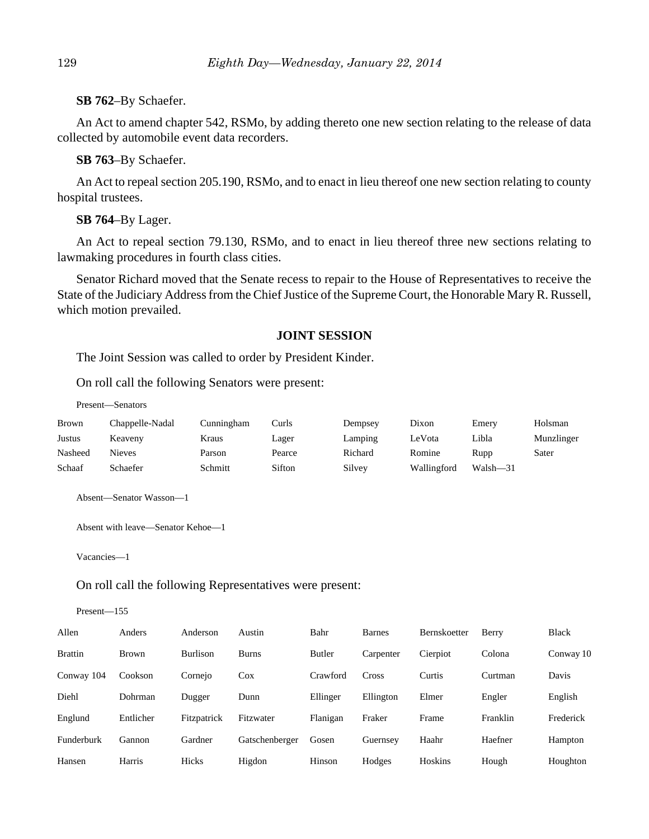#### **SB 762**–By Schaefer.

An Act to amend chapter 542, RSMo, by adding thereto one new section relating to the release of data collected by automobile event data recorders.

## **SB 763**–By Schaefer.

An Act to repeal section 205.190, RSMo, and to enact in lieu thereof one new section relating to county hospital trustees.

#### **SB 764**–By Lager.

An Act to repeal section 79.130, RSMo, and to enact in lieu thereof three new sections relating to lawmaking procedures in fourth class cities.

Senator Richard moved that the Senate recess to repair to the House of Representatives to receive the State of the Judiciary Address from the Chief Justice of the Supreme Court, the Honorable Mary R. Russell, which motion prevailed.

### **JOINT SESSION**

The Joint Session was called to order by President Kinder.

On roll call the following Senators were present:

Present—Senators

| Brown   | Chappelle-Nadal | Cunningham | Curls  | Dempsey | Dixon       | Emery        | Holsman    |
|---------|-----------------|------------|--------|---------|-------------|--------------|------------|
| Justus  | Keaveny         | Kraus      | Lager  | Lamping | LeVota      | Libla        | Munzlinger |
| Nasheed | Nieves          | Parson     | Pearce | Richard | Romine      | Rupp         | Sater      |
| Schaaf  | Schaefer        | Schmitt    | Sifton | Silvey  | Wallingford | $Walsh - 31$ |            |

Absent—Senator Wasson—1

Absent with leave—Senator Kehoe—1

Vacancies—1

#### On roll call the following Representatives were present:

Present—155

| Allen          | Anders       | Anderson        | Austin         | Bahr          | <b>Barnes</b> | Bernskoetter | Berry    | <b>Black</b> |
|----------------|--------------|-----------------|----------------|---------------|---------------|--------------|----------|--------------|
| <b>Brattin</b> | <b>Brown</b> | <b>Burlison</b> | <b>Burns</b>   | <b>Butler</b> | Carpenter     | Cierpiot     | Colona   | Conway 10    |
| Conway 104     | Cookson      | Cornejo         | Cox            | Crawford      | Cross         | Curtis       | Curtman  | Davis        |
| Diehl          | Dohrman      | Dugger          | Dunn           | Ellinger      | Ellington     | Elmer        | Engler   | English      |
| Englund        | Entlicher    | Fitzpatrick     | Fitzwater      | Flanigan      | Fraker        | Frame        | Franklin | Frederick    |
| Funderburk     | Gannon       | Gardner         | Gatschenberger | Gosen         | Guernsey      | Haahr        | Haefner  | Hampton      |
| Hansen         | Harris       | Hicks           | Higdon         | Hinson        | Hodges        | Hoskins      | Hough    | Houghton     |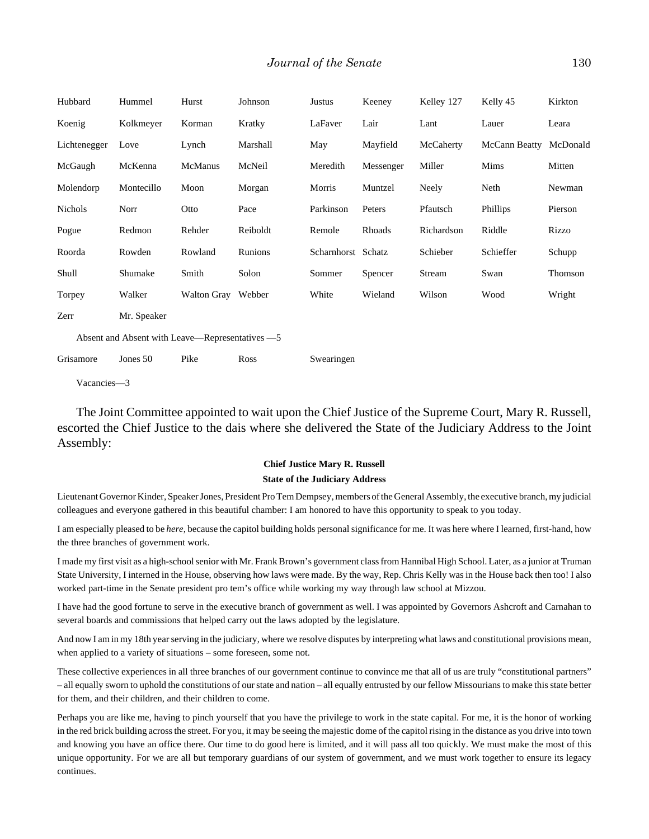| Hubbard                                         | Hummel      | Hurst              | Johnson  | Justus             | Keeney    | Kelley 127 | Kelly 45      | Kirkton  |
|-------------------------------------------------|-------------|--------------------|----------|--------------------|-----------|------------|---------------|----------|
| Koenig                                          | Kolkmeyer   | Korman             | Kratky   | LaFaver            | Lair      | Lant       | Lauer         | Leara    |
| Lichtenegger                                    | Love        | Lynch              | Marshall | May                | Mayfield  | McCaherty  | McCann Beatty | McDonald |
| McGaugh                                         | McKenna     | <b>McManus</b>     | McNeil   | Meredith           | Messenger | Miller     | Mims          | Mitten   |
| Molendorp                                       | Montecillo  | Moon               | Morgan   | Morris             | Muntzel   | Neely      | Neth          | Newman   |
| Nichols                                         | Norr        | Otto               | Pace     | Parkinson          | Peters    | Pfautsch   | Phillips      | Pierson  |
| Pogue                                           | Redmon      | Rehder             | Reiboldt | Remole             | Rhoads    | Richardson | Riddle        | Rizzo    |
| Roorda                                          | Rowden      | Rowland            | Runions  | Scharnhorst Schatz |           | Schieber   | Schieffer     | Schupp   |
| Shull                                           | Shumake     | Smith              | Solon    | Sommer             | Spencer   | Stream     | Swan          | Thomson  |
| Torpey                                          | Walker      | Walton Gray Webber |          | White              | Wieland   | Wilson     | Wood          | Wright   |
| Zerr                                            | Mr. Speaker |                    |          |                    |           |            |               |          |
| Absent and Absent with Leave—Representatives —5 |             |                    |          |                    |           |            |               |          |
| Grisamore                                       | Jones 50    | Pike               | Ross     | Swearingen         |           |            |               |          |

Vacancies—3

The Joint Committee appointed to wait upon the Chief Justice of the Supreme Court, Mary R. Russell, escorted the Chief Justice to the dais where she delivered the State of the Judiciary Address to the Joint Assembly:

## **Chief Justice Mary R. Russell State of the Judiciary Address**

Lieutenant Governor Kinder, Speaker Jones, President Pro Tem Dempsey, members of the General Assembly, the executive branch, my judicial colleagues and everyone gathered in this beautiful chamber: I am honored to have this opportunity to speak to you today.

I am especially pleased to be *here*, because the capitol building holds personal significance for me. It was here where I learned, first-hand, how the three branches of government work.

I made my first visit as a high-school senior with Mr. Frank Brown's government class from Hannibal High School. Later, as a junior at Truman State University, I interned in the House, observing how laws were made. By the way, Rep. Chris Kelly was in the House back then too! I also worked part-time in the Senate president pro tem's office while working my way through law school at Mizzou.

I have had the good fortune to serve in the executive branch of government as well. I was appointed by Governors Ashcroft and Carnahan to several boards and commissions that helped carry out the laws adopted by the legislature.

And now I am in my 18th year serving in the judiciary, where we resolve disputes by interpreting what laws and constitutional provisions mean, when applied to a variety of situations – some foreseen, some not.

These collective experiences in all three branches of our government continue to convince me that all of us are truly "constitutional partners" – all equally sworn to uphold the constitutions of our state and nation – all equally entrusted by our fellow Missourians to make this state better for them, and their children, and their children to come.

Perhaps you are like me, having to pinch yourself that you have the privilege to work in the state capital. For me, it is the honor of working in the red brick building across the street. For you, it may be seeing the majestic dome of the capitol rising in the distance as you drive into town and knowing you have an office there. Our time to do good here is limited, and it will pass all too quickly. We must make the most of this unique opportunity. For we are all but temporary guardians of our system of government, and we must work together to ensure its legacy continues.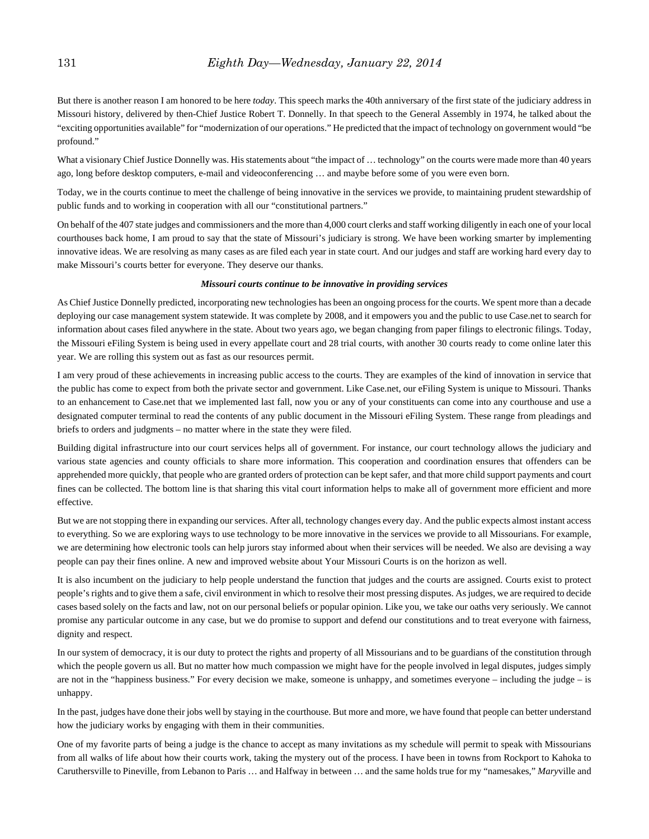#### 131 *Eighth Day—Wednesday, January 22, 2014*

But there is another reason I am honored to be here *today*. This speech marks the 40th anniversary of the first state of the judiciary address in Missouri history, delivered by then-Chief Justice Robert T. Donnelly. In that speech to the General Assembly in 1974, he talked about the "exciting opportunities available" for "modernization of our operations." He predicted that the impact of technology on government would "be profound."

What a visionary Chief Justice Donnelly was. His statements about "the impact of ... technology" on the courts were made more than 40 years ago, long before desktop computers, e-mail and videoconferencing … and maybe before some of you were even born.

Today, we in the courts continue to meet the challenge of being innovative in the services we provide, to maintaining prudent stewardship of public funds and to working in cooperation with all our "constitutional partners."

On behalf of the 407 state judges and commissioners and the more than 4,000 court clerks and staff working diligently in each one of your local courthouses back home, I am proud to say that the state of Missouri's judiciary is strong. We have been working smarter by implementing innovative ideas. We are resolving as many cases as are filed each year in state court. And our judges and staff are working hard every day to make Missouri's courts better for everyone. They deserve our thanks.

#### *Missouri courts continue to be innovative in providing services*

As Chief Justice Donnelly predicted, incorporating new technologies has been an ongoing process for the courts. We spent more than a decade deploying our case management system statewide. It was complete by 2008, and it empowers you and the public to use Case.net to search for information about cases filed anywhere in the state. About two years ago, we began changing from paper filings to electronic filings. Today, the Missouri eFiling System is being used in every appellate court and 28 trial courts, with another 30 courts ready to come online later this year. We are rolling this system out as fast as our resources permit.

I am very proud of these achievements in increasing public access to the courts. They are examples of the kind of innovation in service that the public has come to expect from both the private sector and government. Like Case.net, our eFiling System is unique to Missouri. Thanks to an enhancement to Case.net that we implemented last fall, now you or any of your constituents can come into any courthouse and use a designated computer terminal to read the contents of any public document in the Missouri eFiling System. These range from pleadings and briefs to orders and judgments – no matter where in the state they were filed.

Building digital infrastructure into our court services helps all of government. For instance, our court technology allows the judiciary and various state agencies and county officials to share more information. This cooperation and coordination ensures that offenders can be apprehended more quickly, that people who are granted orders of protection can be kept safer, and that more child support payments and court fines can be collected. The bottom line is that sharing this vital court information helps to make all of government more efficient and more effective.

But we are not stopping there in expanding our services. After all, technology changes every day. And the public expects almost instant access to everything. So we are exploring ways to use technology to be more innovative in the services we provide to all Missourians. For example, we are determining how electronic tools can help jurors stay informed about when their services will be needed. We also are devising a way people can pay their fines online. A new and improved website about Your Missouri Courts is on the horizon as well.

It is also incumbent on the judiciary to help people understand the function that judges and the courts are assigned. Courts exist to protect people's rights and to give them a safe, civil environment in which to resolve their most pressing disputes. As judges, we are required to decide cases based solely on the facts and law, not on our personal beliefs or popular opinion. Like you, we take our oaths very seriously. We cannot promise any particular outcome in any case, but we do promise to support and defend our constitutions and to treat everyone with fairness, dignity and respect.

In our system of democracy, it is our duty to protect the rights and property of all Missourians and to be guardians of the constitution through which the people govern us all. But no matter how much compassion we might have for the people involved in legal disputes, judges simply are not in the "happiness business." For every decision we make, someone is unhappy, and sometimes everyone – including the judge – is unhappy.

In the past, judges have done their jobs well by staying in the courthouse. But more and more, we have found that people can better understand how the judiciary works by engaging with them in their communities.

One of my favorite parts of being a judge is the chance to accept as many invitations as my schedule will permit to speak with Missourians from all walks of life about how their courts work, taking the mystery out of the process. I have been in towns from Rockport to Kahoka to Caruthersville to Pineville, from Lebanon to Paris … and Halfway in between … and the same holds true for my "namesakes," *Mary*ville and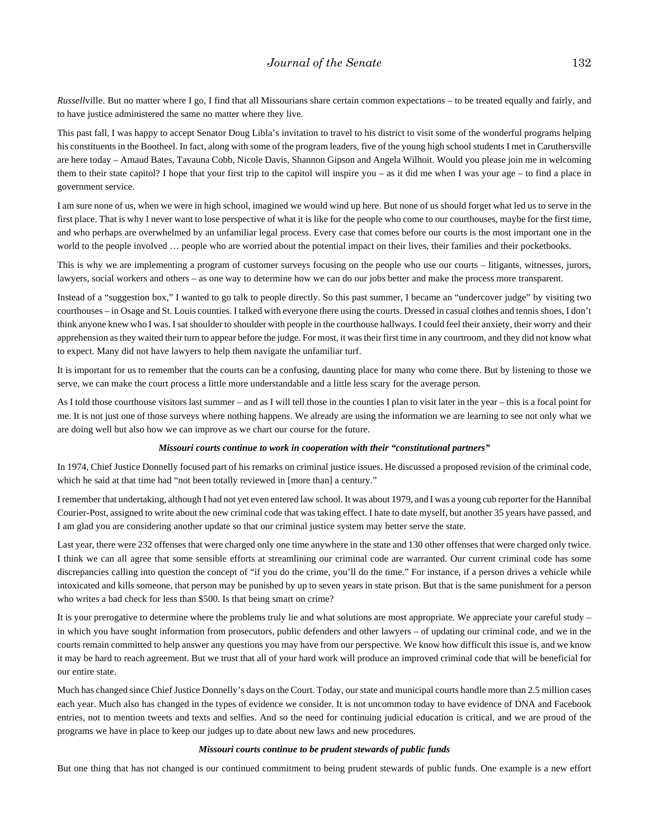*Russell*ville. But no matter where I go, I find that all Missourians share certain common expectations – to be treated equally and fairly, and to have justice administered the same no matter where they live.

This past fall, I was happy to accept Senator Doug Libla's invitation to travel to his district to visit some of the wonderful programs helping his constituents in the Bootheel. In fact, along with some of the program leaders, five of the young high school students I met in Caruthersville are here today – Amaud Bates, Tavauna Cobb, Nicole Davis, Shannon Gipson and Angela Wilhoit. Would you please join me in welcoming them to their state capitol? I hope that your first trip to the capitol will inspire you – as it did me when I was your age – to find a place in government service.

I am sure none of us, when we were in high school, imagined we would wind up here. But none of us should forget what led us to serve in the first place. That is why I never want to lose perspective of what it is like for the people who come to our courthouses, maybe for the first time, and who perhaps are overwhelmed by an unfamiliar legal process. Every case that comes before our courts is the most important one in the world to the people involved ... people who are worried about the potential impact on their lives, their families and their pocketbooks.

This is why we are implementing a program of customer surveys focusing on the people who use our courts – litigants, witnesses, jurors, lawyers, social workers and others – as one way to determine how we can do our jobs better and make the process more transparent.

Instead of a "suggestion box," I wanted to go talk to people directly. So this past summer, I became an "undercover judge" by visiting two courthouses – in Osage and St. Louis counties. I talked with everyone there using the courts. Dressed in casual clothes and tennis shoes, I don't think anyone knew who I was. I sat shoulder to shoulder with people in the courthouse hallways. I could feel their anxiety, their worry and their apprehension as they waited their turn to appear before the judge. For most, it was their first time in any courtroom, and they did not know what to expect. Many did not have lawyers to help them navigate the unfamiliar turf.

It is important for us to remember that the courts can be a confusing, daunting place for many who come there. But by listening to those we serve, we can make the court process a little more understandable and a little less scary for the average person.

As I told those courthouse visitors last summer – and as I will tell those in the counties I plan to visit later in the year – this is a focal point for me. It is not just one of those surveys where nothing happens. We already are using the information we are learning to see not only what we are doing well but also how we can improve as we chart our course for the future.

#### *Missouri courts continue to work in cooperation with their "constitutional partners"*

In 1974, Chief Justice Donnelly focused part of his remarks on criminal justice issues. He discussed a proposed revision of the criminal code, which he said at that time had "not been totally reviewed in [more than] a century."

I remember that undertaking, although I had not yet even entered law school. It was about 1979, and I was a young cub reporter for the Hannibal Courier-Post, assigned to write about the new criminal code that was taking effect. I hate to date myself, but another 35 years have passed, and I am glad you are considering another update so that our criminal justice system may better serve the state.

Last year, there were 232 offenses that were charged only one time anywhere in the state and 130 other offenses that were charged only twice. I think we can all agree that some sensible efforts at streamlining our criminal code are warranted. Our current criminal code has some discrepancies calling into question the concept of "if you do the crime, you'll do the time." For instance, if a person drives a vehicle while intoxicated and kills someone, that person may be punished by up to seven years in state prison. But that is the same punishment for a person who writes a bad check for less than \$500. Is that being smart on crime?

It is your prerogative to determine where the problems truly lie and what solutions are most appropriate. We appreciate your careful study – in which you have sought information from prosecutors, public defenders and other lawyers – of updating our criminal code, and we in the courts remain committed to help answer any questions you may have from our perspective. We know how difficult this issue is, and we know it may be hard to reach agreement. But we trust that all of your hard work will produce an improved criminal code that will be beneficial for our entire state.

Much has changed since Chief Justice Donnelly's days on the Court. Today, our state and municipal courts handle more than 2.5 million cases each year. Much also has changed in the types of evidence we consider. It is not uncommon today to have evidence of DNA and Facebook entries, not to mention tweets and texts and selfies. And so the need for continuing judicial education is critical, and we are proud of the programs we have in place to keep our judges up to date about new laws and new procedures.

#### *Missouri courts continue to be prudent stewards of public funds*

But one thing that has not changed is our continued commitment to being prudent stewards of public funds. One example is a new effort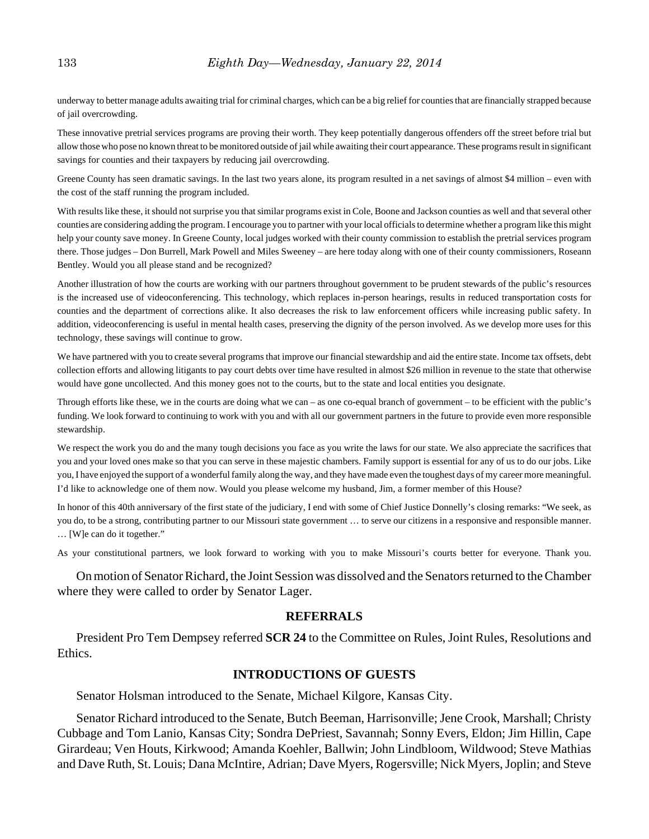underway to better manage adults awaiting trial for criminal charges, which can be a big relief for counties that are financially strapped because of jail overcrowding.

These innovative pretrial services programs are proving their worth. They keep potentially dangerous offenders off the street before trial but allow those who pose no known threat to be monitored outside of jail while awaiting their court appearance. These programs result in significant savings for counties and their taxpayers by reducing jail overcrowding.

Greene County has seen dramatic savings. In the last two years alone, its program resulted in a net savings of almost \$4 million – even with the cost of the staff running the program included.

With results like these, it should not surprise you that similar programs exist in Cole, Boone and Jackson counties as well and that several other counties are considering adding the program. I encourage you to partner with your local officials to determine whether a program like this might help your county save money. In Greene County, local judges worked with their county commission to establish the pretrial services program there. Those judges – Don Burrell, Mark Powell and Miles Sweeney – are here today along with one of their county commissioners, Roseann Bentley. Would you all please stand and be recognized?

Another illustration of how the courts are working with our partners throughout government to be prudent stewards of the public's resources is the increased use of videoconferencing. This technology, which replaces in-person hearings, results in reduced transportation costs for counties and the department of corrections alike. It also decreases the risk to law enforcement officers while increasing public safety. In addition, videoconferencing is useful in mental health cases, preserving the dignity of the person involved. As we develop more uses for this technology, these savings will continue to grow.

We have partnered with you to create several programs that improve our financial stewardship and aid the entire state. Income tax offsets, debt collection efforts and allowing litigants to pay court debts over time have resulted in almost \$26 million in revenue to the state that otherwise would have gone uncollected. And this money goes not to the courts, but to the state and local entities you designate.

Through efforts like these, we in the courts are doing what we can – as one co-equal branch of government – to be efficient with the public's funding. We look forward to continuing to work with you and with all our government partners in the future to provide even more responsible stewardship.

We respect the work you do and the many tough decisions you face as you write the laws for our state. We also appreciate the sacrifices that you and your loved ones make so that you can serve in these majestic chambers. Family support is essential for any of us to do our jobs. Like you, I have enjoyed the support of a wonderful family along the way, and they have made even the toughest days of my career more meaningful. I'd like to acknowledge one of them now. Would you please welcome my husband, Jim, a former member of this House?

In honor of this 40th anniversary of the first state of the judiciary, I end with some of Chief Justice Donnelly's closing remarks: "We seek, as you do, to be a strong, contributing partner to our Missouri state government … to serve our citizens in a responsive and responsible manner. … [W]e can do it together."

As your constitutional partners, we look forward to working with you to make Missouri's courts better for everyone. Thank you.

On motion of Senator Richard, the Joint Session was dissolved and the Senators returned to the Chamber where they were called to order by Senator Lager.

#### **REFERRALS**

President Pro Tem Dempsey referred **SCR 24** to the Committee on Rules, Joint Rules, Resolutions and Ethics.

#### **INTRODUCTIONS OF GUESTS**

Senator Holsman introduced to the Senate, Michael Kilgore, Kansas City.

Senator Richard introduced to the Senate, Butch Beeman, Harrisonville; Jene Crook, Marshall; Christy Cubbage and Tom Lanio, Kansas City; Sondra DePriest, Savannah; Sonny Evers, Eldon; Jim Hillin, Cape Girardeau; Ven Houts, Kirkwood; Amanda Koehler, Ballwin; John Lindbloom, Wildwood; Steve Mathias and Dave Ruth, St. Louis; Dana McIntire, Adrian; Dave Myers, Rogersville; Nick Myers, Joplin; and Steve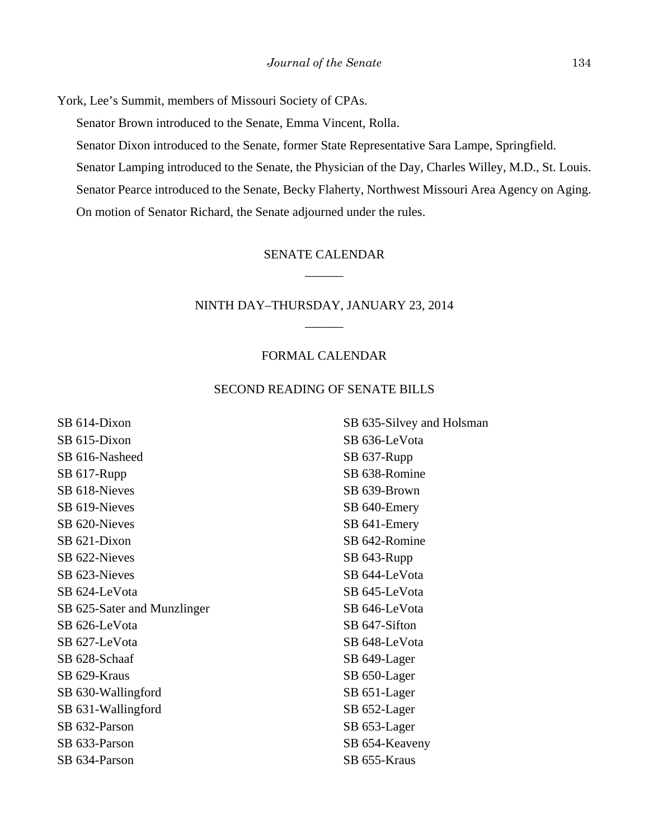York, Lee's Summit, members of Missouri Society of CPAs.

Senator Brown introduced to the Senate, Emma Vincent, Rolla.

Senator Dixon introduced to the Senate, former State Representative Sara Lampe, Springfield.

Senator Lamping introduced to the Senate, the Physician of the Day, Charles Willey, M.D., St. Louis.

Senator Pearce introduced to the Senate, Becky Flaherty, Northwest Missouri Area Agency on Aging.

On motion of Senator Richard, the Senate adjourned under the rules.

# SENATE CALENDAR \_\_\_\_\_\_

# NINTH DAY–THURSDAY, JANUARY 23, 2014 \_\_\_\_\_\_

## FORMAL CALENDAR

#### SECOND READING OF SENATE BILLS

SB 614-Dixon SB 615-Dixon SB 616-Nasheed SB 617-Rupp SB 618-Nieves SB 619-Nieves SB 620-Nieves SB 621-Dixon SB 622-Nieves SB 623-Nieves SB 624-LeVota SB 625-Sater and Munzlinger SB 626-LeVota SB 627-LeVota SB 628-Schaaf SB 629-Kraus SB 630-Wallingford SB 631-Wallingford SB 632-Parson SB 633-Parson SB 634-Parson

SB 635-Silvey and Holsman SB 636-LeVota SB 637-Rupp SB 638-Romine SB 639-Brown SB 640-Emery SB 641-Emery SB 642-Romine SB 643-Rupp SB 644-LeVota SB 645-LeVota SB 646-LeVota SB 647-Sifton SB 648-LeVota SB 649-Lager SB 650-Lager SB 651-Lager SB 652-Lager SB 653-Lager SB 654-Keaveny SB 655-Kraus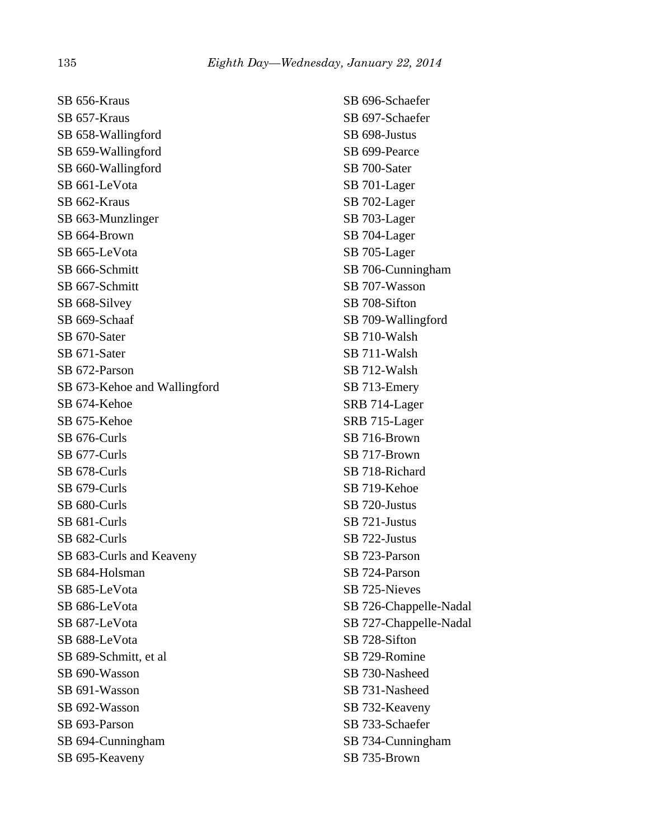SB 656-Kraus SB 657-Kraus SB 658-Wallingford SB 659-Wallingford SB 660-Wallingford SB 661-LeVota SB 662-Kraus SB 663-Munzlinger SB 664-Brown SB 665-LeVota SB 666-Schmitt SB 667-Schmitt SB 668-Silvey SB 669-Schaaf SB 670-Sater SB 671-Sater SB 672-Parson SB 673-Kehoe and Wallingford SB 674-Kehoe SB 675-Kehoe SB 676-Curls SB 677-Curls SB 678-Curls SB 679-Curls SB 680-Curls SB 681-Curls SB 682-Curls SB 683-Curls and Keaveny SB 684-Holsman SB 685-LeVota SB 686-LeVota SB 687-LeVota SB 688-LeVota SB 689-Schmitt, et al SB 690-Wasson SB 691-Wasson SB 692-Wasson SB 693-Parson SB 694-Cunningham SB 695-Keaveny

SB 696-Schaefer SB 697-Schaefer SB 698-Justus SB 699-Pearce SB 700-Sater SB 701-Lager SB 702-Lager SB 703-Lager SB 704-Lager SB 705-Lager SB 706-Cunningham SB 707-Wasson SB 708-Sifton SB 709-Wallingford SB 710-Walsh SB 711-Walsh SB 712-Walsh SB 713-Emery SRB 714-Lager SRB 715-Lager SB 716-Brown SB 717-Brown SB 718-Richard SB 719-Kehoe SB 720-Justus SB 721-Justus SB 722-Justus SB 723-Parson SB 724-Parson SB 725-Nieves SB 726-Chappelle-Nadal SB 727-Chappelle-Nadal SB 728-Sifton SB 729-Romine SB 730-Nasheed SB 731-Nasheed SB 732-Keaveny SB 733-Schaefer SB 734-Cunningham SB 735-Brown